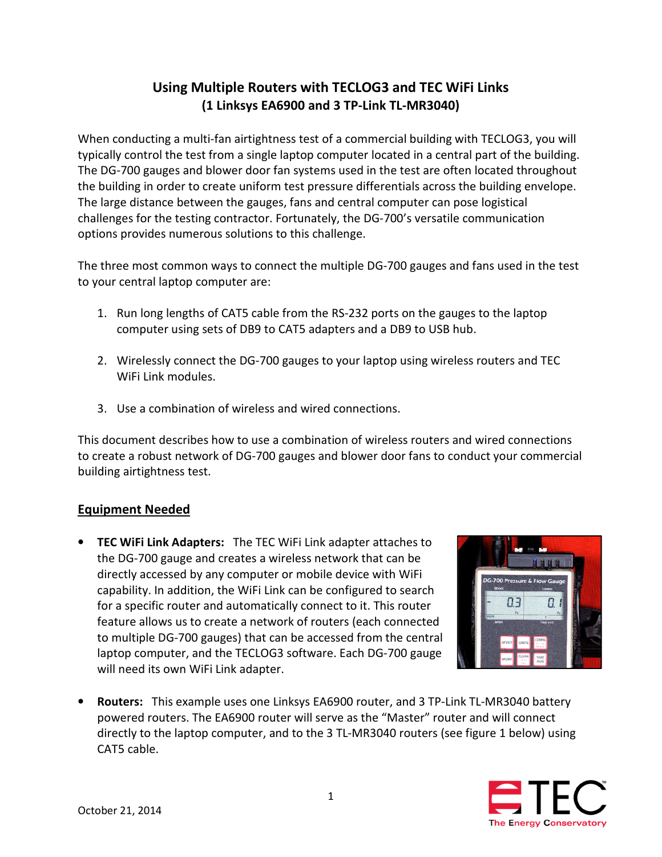# Using Multiple Routers with TECLOG3 and TEC WiFi Links (1 Linksys EA6900 and 3 TP-Link TL-MR3040)

When conducting a multi-fan airtightness test of a commercial building with TECLOG3, you will typically control the test from a single laptop computer located in a central part of the building. The DG-700 gauges and blower door fan systems used in the test are often located throughout the building in order to create uniform test pressure differentials across the building envelope. The large distance between the gauges, fans and central computer can pose logistical challenges for the testing contractor. Fortunately, the DG-700's versatile communication options provides numerous solutions to this challenge.

The three most common ways to connect the multiple DG-700 gauges and fans used in the test to your central laptop computer are:

- 1. Run long lengths of CAT5 cable from the RS-232 ports on the gauges to the laptop computer using sets of DB9 to CAT5 adapters and a DB9 to USB hub.
- 2. Wirelessly connect the DG-700 gauges to your laptop using wireless routers and TEC WiFi Link modules.
- 3. Use a combination of wireless and wired connections.

This document describes how to use a combination of wireless routers and wired connections to create a robust network of DG-700 gauges and blower door fans to conduct your commercial building airtightness test.

#### Equipment Needed

• TEC WiFi Link Adapters: The TEC WiFi Link adapter attaches to the DG-700 gauge and creates a wireless network that can be directly accessed by any computer or mobile device with WiFi capability. In addition, the WiFi Link can be configured to search for a specific router and automatically connect to it. This router feature allows us to create a network of routers (each connected to multiple DG-700 gauges) that can be accessed from the central laptop computer, and the TECLOG3 software. Each DG-700 gauge will need its own WiFi Link adapter.



• Routers: This example uses one Linksys EA6900 router, and 3 TP-Link TL-MR3040 battery powered routers. The EA6900 router will serve as the "Master" router and will connect directly to the laptop computer, and to the 3 TL-MR3040 routers (see figure 1 below) using CAT5 cable.

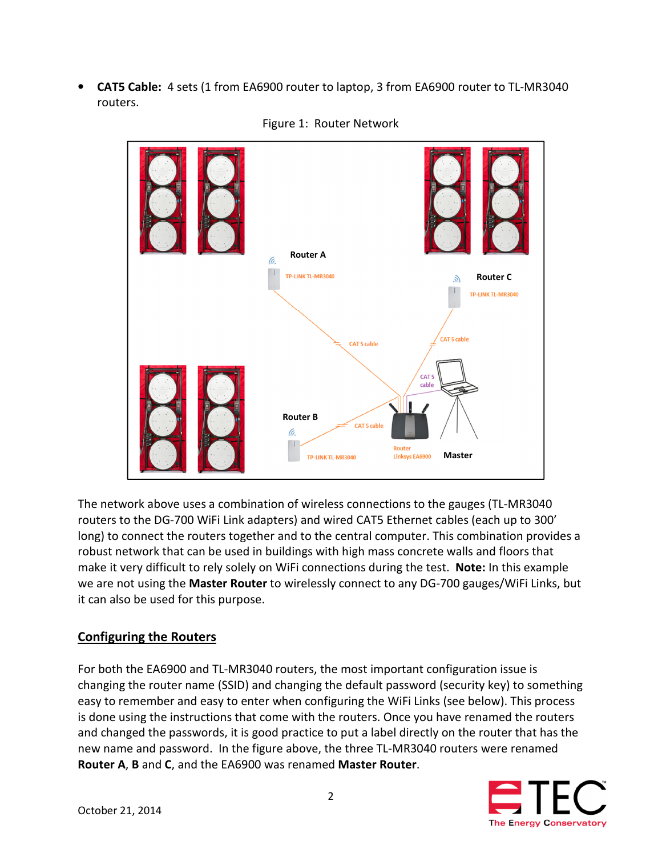• **CAT5 Cable:** 4 sets (1 from EA6900 router to laptop, 3 from EA6900 router to TL-MR3040 routers.



#### Figure 1: Router Network

The network above uses a combination of wireless connections to the gauges (TL-MR3040 routers to the DG-700 WiFi Link adapters) and wired CAT5 Ethernet cables (each up to 300' long) to connect the routers together and to the central computer. This combination provides a robust network that can be used in buildings with high mass concrete walls and floors that make it very difficult to rely solely on WiFi connections during the test. Note: In this example we are not using the Master Router to wirelessly connect to any DG-700 gauges/WiFi Links, but it can also be used for this purpose.

# Configuring the Routers

For both the EA6900 and TL-MR3040 routers, the most important configuration issue is changing the router name (SSID) and changing the default password (security key) to something easy to remember and easy to enter when configuring the WiFi Links (see below). This process is done using the instructions that come with the routers. Once you have renamed the routers and changed the passwords, it is good practice to put a label directly on the router that has the new name and password. In the figure above, the three TL-MR3040 routers were renamed Router A, B and C, and the EA6900 was renamed Master Router.

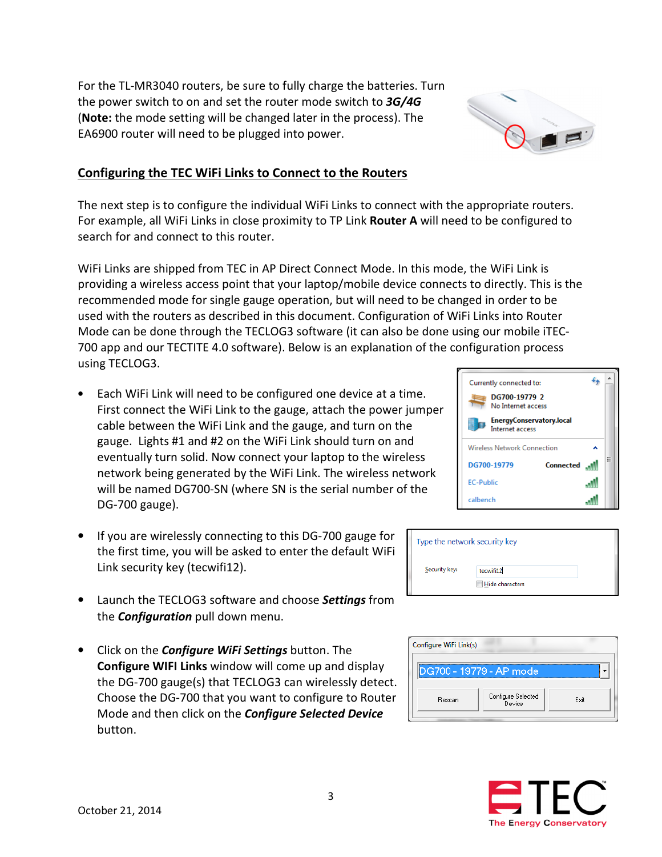For the TL-MR3040 routers, be sure to fully charge the batteries. Turn the power switch to on and set the router mode switch to 3G/4G (Note: the mode setting will be changed later in the process). The EA6900 router will need to be plugged into power.

### Configuring the TEC WiFi Links to Connect to the Routers

The next step is to configure the individual WiFi Links to connect with the appropriate routers. For example, all WiFi Links in close proximity to TP Link Router A will need to be configured to search for and connect to this router.

WiFi Links are shipped from TEC in AP Direct Connect Mode. In this mode, the WiFi Link is providing a wireless access point that your laptop/mobile device connects to directly. This is the recommended mode for single gauge operation, but will need to be changed in order to be used with the routers as described in this document. Configuration of WiFi Links into Router Mode can be done through the TECLOG3 software (it can also be done using our mobile iTEC-700 app and our TECTITE 4.0 software). Below is an explanation of the configuration process using TECLOG3.

- Each WiFi Link will need to be configured one device at a time. First connect the WiFi Link to the gauge, attach the power jumper cable between the WiFi Link and the gauge, and turn on the gauge. Lights #1 and #2 on the WiFi Link should turn on and eventually turn solid. Now connect your laptop to the wireless network being generated by the WiFi Link. The wireless network will be named DG700-SN (where SN is the serial number of the DG-700 gauge).
- If you are wirelessly connecting to this DG-700 gauge for the first time, you will be asked to enter the default WiFi Link security key (tecwifi12).
- Launch the TECLOG3 software and choose Settings from the **Configuration** pull down menu.
- Click on the *Configure WiFi Settings* button. The Configure WIFI Links window will come up and display the DG-700 gauge(s) that TECLOG3 can wirelessly detect. Choose the DG-700 that you want to configure to Router Mode and then click on the **Configure Selected Device** button.







Type the network security key

tecwifi12 Hide characters

DG700 - 19779 - AP mode

Security key:

Configure WiFi Link(s)

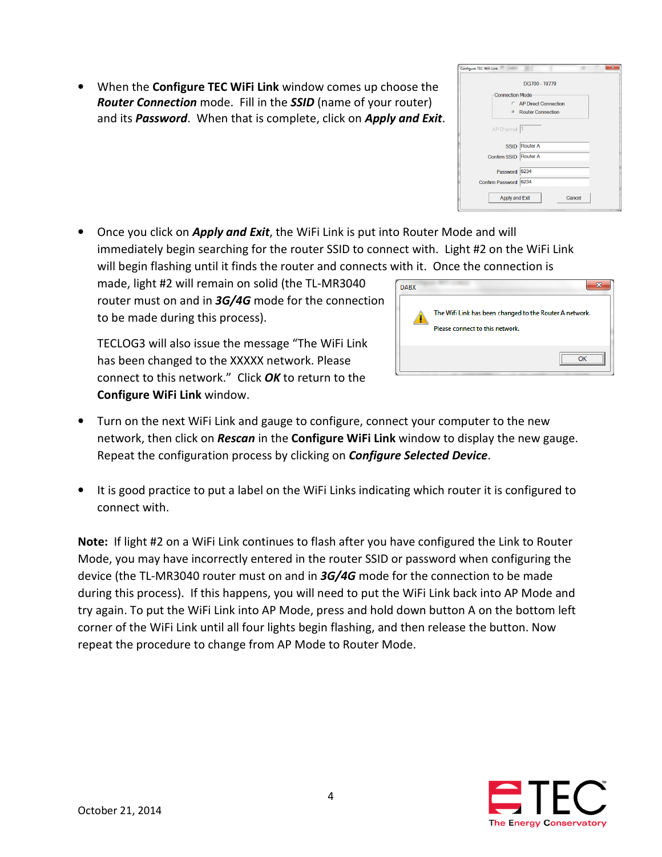• When the **Configure TEC WiFi Link** window comes up choose the Router Connection mode. Fill in the SSID (name of your router) and its Password. When that is complete, click on Apply and Exit.

• Once you click on *Apply and Exit*, the WiFi Link is put into Router Mode and will immediately begin searching for the router SSID to connect with. Light #2 on the WiFi Link will begin flashing until it finds the router and connects with it. Once the connection is

made, light #2 will remain on solid (the TL-MR3040 router must on and in 3G/4G mode for the connection to be made during this process).

TECLOG3 will also issue the message "The WiFi Link has been changed to the XXXXX network. Please connect to this network." Click OK to return to the Configure WiFi Link window.



Configure TEC Wifi Link

Connection Mode

SSID Router A Confirm SSID Router A Password 6234 Confirm Password 6234 Apply and Exit

DG700 - 19779

C AP Direct Connection C Router Connection

Cancel

- Turn on the next WiFi Link and gauge to configure, connect your computer to the new network, then click on Rescan in the Configure WiFi Link window to display the new gauge. Repeat the configuration process by clicking on **Configure Selected Device**.
- It is good practice to put a label on the WiFi Links indicating which router it is configured to connect with.

Note: If light #2 on a WiFi Link continues to flash after you have configured the Link to Router Mode, you may have incorrectly entered in the router SSID or password when configuring the device (the TL-MR3040 router must on and in  $3G/4G$  mode for the connection to be made during this process). If this happens, you will need to put the WiFi Link back into AP Mode and try again. To put the WiFi Link into AP Mode, press and hold down button A on the bottom left corner of the WiFi Link until all four lights begin flashing, and then release the button. Now repeat the procedure to change from AP Mode to Router Mode.